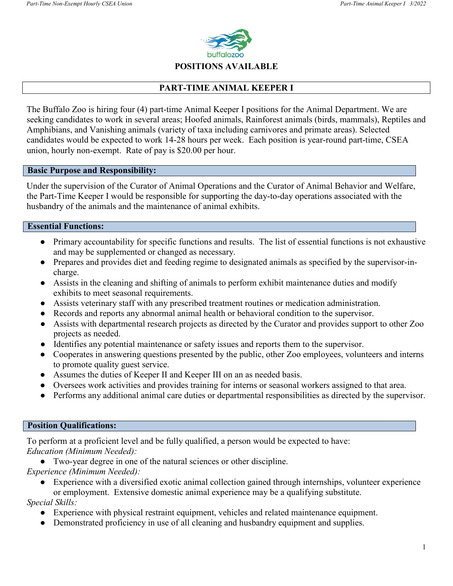

#### **POSITIONS AVAILABLE**

## **PART-TIME ANIMAL KEEPER I**

The Buffalo Zoo is hiring four (4) part-time Animal Keeper I positions for the Animal Department. We are seeking candidates to work in several areas; Hoofed animals, Rainforest animals (birds, mammals), Reptiles and Amphibians, and Vanishing animals (variety of taxa including carnivores and primate areas). Selected candidates would be expected to work 14-28 hours per week. Each position is year-round part-time, CSEA union, hourly non-exempt. Rate of pay is \$20.00 per hour.

#### **Basic Purpose and Responsibility:**

Under the supervision of the Curator of Animal Operations and the Curator of Animal Behavior and Welfare, the Part-Time Keeper I would be responsible for supporting the day-to-day operations associated with the husbandry of the animals and the maintenance of animal exhibits.

### **Essential Functions:**

- Primary accountability for specific functions and results. The list of essential functions is not exhaustive and may be supplemented or changed as necessary.
- Prepares and provides diet and feeding regime to designated animals as specified by the supervisor-incharge.
- Assists in the cleaning and shifting of animals to perform exhibit maintenance duties and modify exhibits to meet seasonal requirements.
- Assists veterinary staff with any prescribed treatment routines or medication administration.
- Records and reports any abnormal animal health or behavioral condition to the supervisor.
- Assists with departmental research projects as directed by the Curator and provides support to other Zoo projects as needed.
- Identifies any potential maintenance or safety issues and reports them to the supervisor.
- Cooperates in answering questions presented by the public, other Zoo employees, volunteers and interns to promote quality guest service.
- Assumes the duties of Keeper II and Keeper III on an as needed basis.
- Oversees work activities and provides training for interns or seasonal workers assigned to that area.
- Performs any additional animal care duties or departmental responsibilities as directed by the supervisor.

### **Position Qualifications:**

To perform at a proficient level and be fully qualified, a person would be expected to have: *Education (Minimum Needed):*

- Two-year degree in one of the natural sciences or other discipline.
- *Experience (Minimum Needed):*
	- Experience with a diversified exotic animal collection gained through internships, volunteer experience or employment. Extensive domestic animal experience may be a qualifying substitute.

*Special Skills:*

- Experience with physical restraint equipment, vehicles and related maintenance equipment.
- Demonstrated proficiency in use of all cleaning and husbandry equipment and supplies.